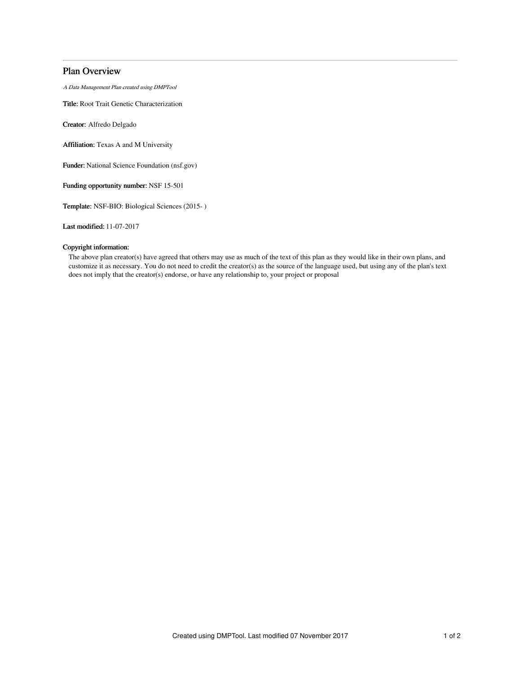## Plan Overview

A Data Management Plan created using DMPTool

Title: Root Trait Genetic Characterization

Creator: Alfredo Delgado

Affiliation: Texas A and M University

Funder: National Science Foundation (nsf.gov)

Funding opportunity number: NSF 15-501

Template: NSF-BIO: Biological Sciences (2015- )

Last modified: 11-07-2017

## Copyright information:

The above plan creator(s) have agreed that others may use as much of the text of this plan as they would like in their own plans, and customize it as necessary. You do not need to credit the creator(s) as the source of the language used, but using any of the plan's text does not imply that the creator(s) endorse, or have any relationship to, your project or proposal